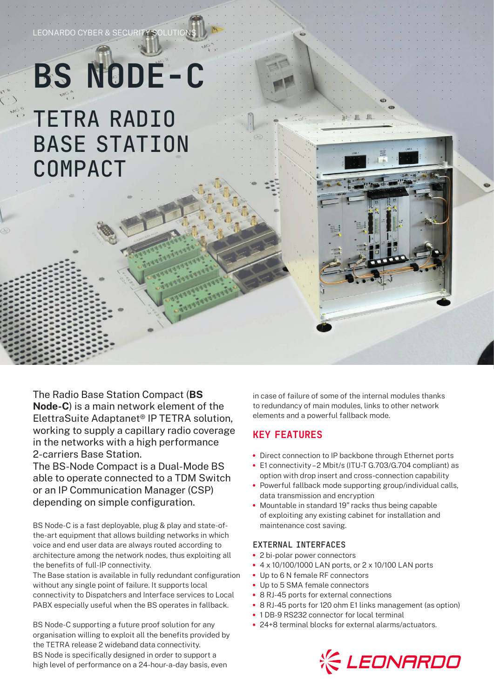## **BS NODE-C** TETRA RADIO BASE STATION COMPACT

LEONARDO CYBER

The Radio Base Station Compact (**BS Node-C**) is a main network element of the ElettraSuite Adaptanet® IP TETRA solution, working to supply a capillary radio coverage in the networks with a high performance 2-carriers Base Station.

The BS-Node Compact is a Dual-Mode BS able to operate connected to a TDM Switch or an IP Communication Manager (CSP) depending on simple configuration.

BS Node-C is a fast deployable, plug & play and state-ofthe-art equipment that allows building networks in which voice and end user data are always routed according to architecture among the network nodes, thus exploiting all the benefits of full-IP connectivity.

The Base station is available in fully redundant configuration without any single point of failure. It supports local connectivity to Dispatchers and Interface services to Local PABX especially useful when the BS operates in fallback.

BS Node-C supporting a future proof solution for any organisation willing to exploit all the benefits provided by the TETRA release 2 wideband data connectivity. BS Node is specifically designed in order to support a high level of performance on a 24-hour-a-day basis, even

in case of failure of some of the internal modules thanks to redundancy of main modules, links to other network elements and a powerful fallback mode.

## KEY FEATURES

- **•** Direct connection to IP backbone through Ethernet ports
- **•** E1 connectivity 2 Mbit/s (ITU-T G.703/G.704 compliant) as option with drop insert and cross-connection capability
- **•** Powerful fallback mode supporting group/individual calls, data transmission and encryption
- **•** Mountable in standard 19" racks thus being capable of exploiting any existing cabinet for installation and maintenance cost saving.

## EXTERNAL INTERFACES

- **•** 2 bi-polar power connectors
- **•** 4 x 10/100/1000 LAN ports, or 2 x 10/100 LAN ports
- **•** Up to 6 N female RF connectors
- **•** Up to 5 SMA female connectors
- **•** 8 RJ-45 ports for external connections
- **•** 8 RJ-45 ports for 120 ohm E1 links management (as option)
- **•** 1 DB-9 RS232 connector for local terminal
- **•** 24+8 terminal blocks for external alarms/actuators.